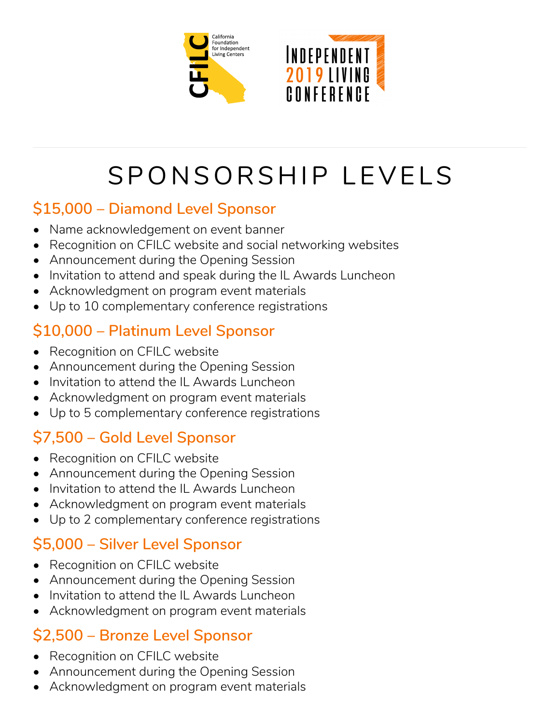



# SPONSORSHIP LEVELS

### **\$15,000 – Diamond Level Sponsor**

- Name acknowledgement on event banner
- Recognition on CFILC website and social networking websites
- Announcement during the Opening Session
- Invitation to attend and speak during the IL Awards Luncheon
- Acknowledgment on program event materials
- Up to 10 complementary conference registrations

# **\$10,000 – Platinum Level Sponsor**

- Recognition on CFILC website
- Announcement during the Opening Session
- Invitation to attend the IL Awards Luncheon
- Acknowledgment on program event materials
- Up to 5 complementary conference registrations

# **\$7,500 – Gold Level Sponsor**

- Recognition on CFILC website
- Announcement during the Opening Session
- Invitation to attend the IL Awards Luncheon
- Acknowledgment on program event materials
- Up to 2 complementary conference registrations

# **\$5,000 – Silver Level Sponsor**

- Recognition on CFILC website
- Announcement during the Opening Session
- Invitation to attend the IL Awards Luncheon
- Acknowledgment on program event materials

#### **\$2,500 – Bronze Level Sponsor**

- Recognition on CFILC website
- Announcement during the Opening Session
- Acknowledgment on program event materials